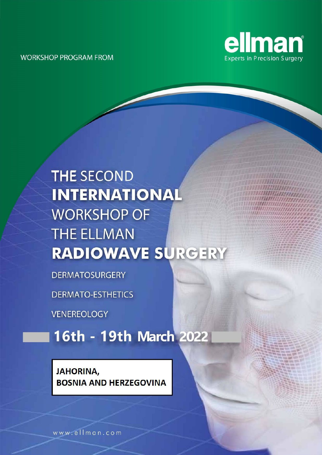

## **THE SECOND INTERNATIONAL WORKSHOP OF THE ELLMAN RADIOWAVE SURGERY**

**DERMATOSURGERY** 

**DERMATO-ESTHETICS** 

**VENEREOLOGY** 

16th - 19th March 2022

### **JAHORINA, BOSNIA AND HERZEGOVINA**

www.ellman.com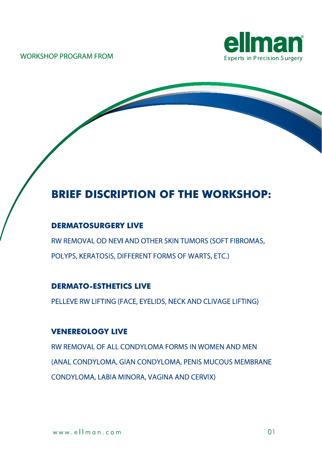



## **BRIEF DISCRIPTION OF THE WORKSHOP:**

#### **DERMATOSURGERY LIVE**

RW REMOVAL OD NEVI AND OTHER SKIN TUMORS (SOFT FIBROMAS, POLYPS, KERATOSIS, DIFFERENT FORMS OF WARTS, ETC.)

#### **DERMATO-ESTHETICS LIVE**

PELLEVE RW LIFTING (FACE, EYELIDS, NECK AND CLIVAGE LIFTING)

#### **VENEREOLOGY LIVE**

RW REMOVAL OF ALL CONDYLOMA FORMS IN WOMEN AND MEN (ANAL CONDYLOMA, GIAN CONDYLOMA, PENIS MUCOUS MEMBRANE CONDYLOMA, LABIA MINORA, VAGINA AND CERVIX)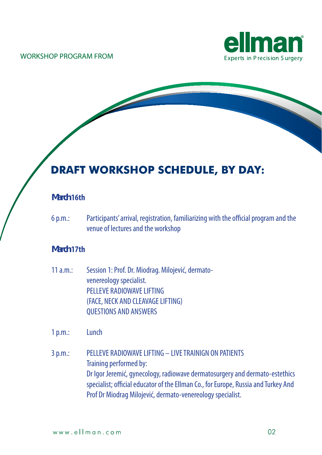

## **DRAFT WORKSHOP SCHEDULE, BY DAY:**

#### **March 16th**

6 p.m.: Participants' arrival, registration, familiarizing with the official program and the venue of lectures and the workshop

#### **March 17th**

11 a.m.: Session 1: Prof. Dr. Miodrag. Milojević, dermatovenereology specialist. PELLEVE RADIOWAVE LIFTING (FACE, NECK AND CLEAVAGE LIFTING) QUESTIONS AND ANSWERS

1p.m.: Lunch

3p.m.: PELLEVE RADIOWAVELIFTING – LIVETRAINIGN ON PATIENTS Training performed by: Dr Igor Jeremić, gynecology, radiowave dermatosurgery and dermato-estethics specialist; official educator of the Ellman Co., for Europe, Russia and Turkey And Prof Dr Miodrag Milojević, dermato-venereology specialist.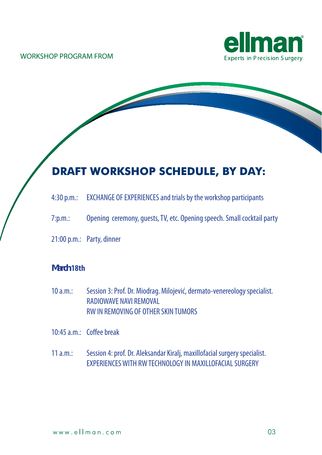

## **DRAFT WORKSHOP SCHEDULE, BY DAY:**

- 4:30 p.m.: EXCHANGE OF EXPERIENCES and trials by the workshop participants
- 7:p.m.: Opening ceremony, quests, TV, etc. Opening speech. Small cocktail party
- 21:00 p.m.: Party, dinner

#### **March 18th**

10 a.m.: Session 3: Prof. Dr. Miodrag. Milojević, dermato-venereology specialist. RADIOWAVE NAVI REMOVAL RWIN REMOVING OF OTHER SKIN TUMORS

10:45a.m.: Coffeebreak

11 a.m.: Session 4: prof. Dr. Aleksandar Kiralj, maxillofacial surgery specialist. EXPERIENCESWITH RWTECHNOLOGYIN MAXILLOFACIALSURGERY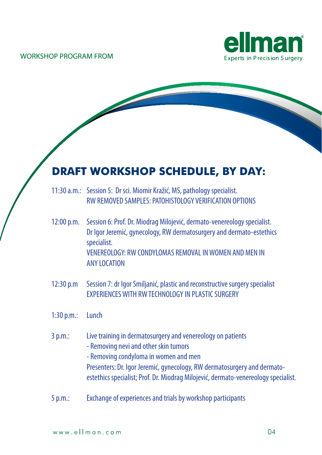

## **DRAFT WORKSHOP SCHEDULE, BY DAY:**

| 11:30 a.m.: Session 5: Dr sci. Miomir Kražić, MS, pathology specialist. |
|-------------------------------------------------------------------------|
| RW REMOVED SAMPLES: PATOHISTOLOGY VERIFICATION OPTIONS                  |

- 12:00 p.m. Session 6: Prof. Dr. Miodrag Milojević, dermato-venereology specialist. Dr Igor Jeremić, gynecology, RW dermatosurgery and dermato-estethics specialist. VENEREOLOGY: RW CONDYLOMAS REMOVAL IN WOMEN AND MEN IN ANY LOCATION
- 12:30 p.m Session 7: dr Igor Smiljanić, plastic and reconstructive surgery specialist EXPERIENCES WITH RW TECHNOLOGY IN PLASTIC SURGERY
- 1:30 p.m.: Lunch
- 3 p.m.: Live training in dermatosurgery and venereology on patients
	- Removing nevi and other skin tumors
	- Removing condyloma in women and men Presenters: Dr. Igor Jeremić, gynecology, RW dermatosurgery and dermatoestethics specialist; Prof. Dr. Miodrag Milojević, dermato-venereology specialist.
- 5 p.m.: Exchange of experiences and trials by workshop participants